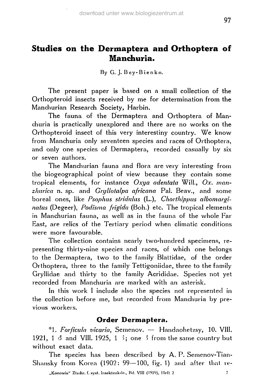By G. J. Bey-Bienko.

The present paper is based on a small collection of the Orthopteroid insects received by me for determination from the Manchurian Research Society, Harbin.

The fauna of the Dermaptera and Orthoptera of Manchuria is practically unexplored and there are no works on the Orthopteroid insect of this very interestiny country. We know from Manchuria only seventeen species and races of Orthoptera, and only one species of Dermaptera, recorded casually by six or seven authors.

The Manchurian fauna and flora are very interesting from the biogeographical point of view because they contain some tropical elements, for instance *Oxya adentata* Will., *Ox. manzhurica* n. sp. and *Gryllolalpa africana* Pal. Beav., and some boreal ones, like *Psophus striduhis* (L.), *Chorthippus albomarginatus* (Degeer), *Podisma frigida* (Boh.) etc. The tropical elements in Manchurian fauna, as well as in the fauna of the whole Far East, are relics of the Tertiary period when climatic conditions were more favourable.

The collection contains nearly two-hundred specimens, representing thirty-nine species and races, of which one belongs to the Dermaptera, two to the family Blattidae, of the order Orthoptera, three to the family Tettigoniidae, three to the family Gryllidae and thirty to the family Acrididae. Species not yet recorded from Manchuria are marked with an asterisk.

In this work I include also the species not represented in the collection before me, but recorded from Manchuria by previous workers.

## **Order Dermaptera.**

\*1. *Forficula vicaria,* Semenov. — Handaohetzsy, 10. VIII. 1921, 1  $\delta$  and VIII. 1925, 1  $\delta$ ; one  $\delta$  from the same country but without exact data.

The species has been described by A. P. Semenov-Tian-Shansky from Korea (1902: 99—100, fig. 1) and after that re-

**97**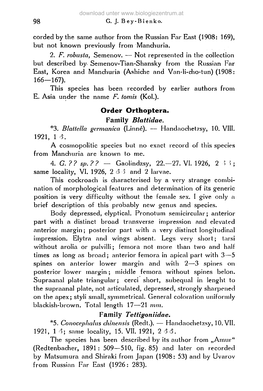corded by the same author from the Russian Far East (1908: 169), but not known previously from Manchuria.

2. *F. robusta,* Semenov. — Not represented in the collection but described by Semenov-Tian-Shansky from the Russian Far East, Korea and Manchuria (Ashiche and Van-li-cho-tun) (1908: 166—167).

This species has been recorded by earlier authors from E. Asia under the name *F. tomis* (Kol.).

## **Order Orthoptera. Family** *Blattidae.*

\*3. *Blattella germanica* (Linné). — Handaoehet7sy, 10. VIII. 1921, 1 3.

A cosmopolitic species but no exact record of this species from Manchuria are known to me.

4. *G.* ?? sp. ?? — Gaolindzsy, 22.—27. VI. 1926, 2  $\frac{3}{7}$ ; same locality, VI. 1926, 2 *â* 5 and 2 larvae.

This cockroach is characterised by a very strange combination of morphological features and determination of its generic position is very difficulty without the female sex. I give only a brief description of this probably new genus and species.

Body depressed, elyptical. Pronotum semicircular; anterior part with a distinct broad transverse impression and elevated anterior margin; posterior part with a very distinct longitudinal impression. Elytra and wings absent. Legs very short; tarsi without arolia or pulvilli; femora not more than two and half times as long as broad; anterior femora in apical part with  $3-5$ spines on anterior lower margin and with 2—3 spines on posterior lower margin ; middle femora without spines belon. Supraanal plate triangular; cerci short, subequal in lenght to the supraanal plate, not articulated, depressed, strongly sharpened on the apex ; styli small, symmetrical. General coloration uniformly blackish-brown. Total length 17—21 *mm.*

## **Family** *Tettigoniidae.*

\*5. *Conocephahis chinensis* (Redt.). — Handaochetzsy, 10. VII. 1921, 1 3; same locality, 15. VII. 1921, 2 3 3.

The species has been described by its author from "Amur" (Redtenbacher, 1891 : 509—510, fig. 85) and later on recorded by Matsumura and Shiraki from Japan (1908: 53) and by Uvarov from Russian Far East (1926: 283).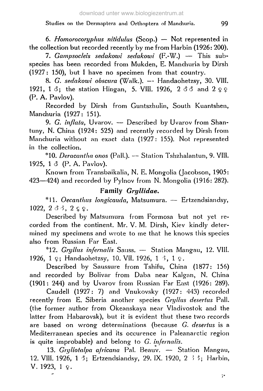6. *Homorocoryphus nitidulus* (Scop.) — Not represented in the collection but recorded recently by me from Harbin (1926: 200).

**7.** *Gampsocleis sedakowi sedakowi* (F.-W.) — This subspecies has been recorded from Mukden, E. Manchuria by Dirsh (1927: 150), but I have no specimen from that country.

8. *G. sedakowi obscura* (Walk.). — Handaohetzsy, 30. VIII. 1921, 1  $\delta$ ; the station Hingan, 5. VIII. 1926, 2  $\delta$   $\delta$  and 2  $\varphi$   $\varphi$ (P. A. Pavlov).

Recorded by Dirsh from Guntszhulin, South Kuantshen, Manchuria (1927: 151).

9. *G. inflata,* Uvarov. — Described by Uvarov from Shantuny, N. China (1924: 525) and recently recorded by Dirsh from Manchuria without an exact data (1927: 155). Not represented in the collection.

\*10. *Deracantha onos* (Pall.). — Station Tshzhalantun, 9. VIII. 1925, 1 *Ô* (P. A. Pavlov).

Known from Transbaikalia, N. E. Mongolia (Jacobson, 1905: 423—424) and recorded by Pylnov from N. Mongolia (1916: 282).

## **Family** *Gryllidae.*

\*11. *Oecanthus longicauda,* Matsumura. — Ertzendsiandsy, 1022,  $2 \delta \delta$ ,  $2 \epsilon \Omega$ .

Described by Matsumura from Formosa but not yet recorded from the continent. Mr. V. M. Dirsh, Kiev kindly determined my specimens and wrote to me that he knows this species also from Russian Far East.

\*12. *Gryllus in/ernalis* Sauss. — Station Mangau, 12. VIII. 1926, 1  $\varphi$ ; Handaohetzsy, 10. VII. 1926, 1  $\varphi$ , 1  $\varphi$ .

Described by Saussure from Tshifu, China (1877: 156) and recorded by Bolivar from Daba near Kalgan, N. China (1901: 244) and by Uvarov from Russian Far East (1926: 289).

Caudell (1927: 7) and Vnukovsky (1927: 443) recorded recently from E. Siberia another species *Gryllus desertus* Pall, (the former author from Okeanskaya near Vladivostok and the latter from Habarovsk), but it is evident thut these two records are based on wrong determinations (because *G. desertus* is a Mediterranean species and its occurence in Paleanarctic region is quite improbable) and belong to *G. in/ernalis.*

13. *Gryllotalpa a/ricana* Pal. Beauv. — Station Mangau, 12. VIII. 1926, 1 3; Ertzendsiandsy, 29. IX. 1920, 2 53; Harbin,  $V. 1923, 19.$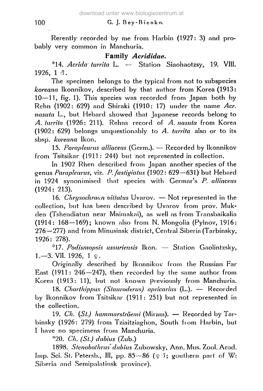#### 100 G. J. Bey-Bien ko.

Rerently recorded by me from Harbin (1927: 3) and probably very common in Manchuria.

## **Family** *Acrididae.*

\*14. *Acrida turrita* L. — Station Siaohaotzsy, 19. VIII. 1926, 1 đ.

The specimen belongs to the typical from not to subspecies *koreana* Ikonnikov, described by that author from Korea (1913: 10—11, fig. 1). This species was recorded from Japan both by Rehn (1902: 629) and Shiraki (1910: 17) under the name *Acr. nasuta* L., but Hebard showed that Japanese records belong to *A. turrita* (1926: 211). Rehns record of *A. nasuta* from Korea (1902: 629) belongs unquestionably to *A. turrita* also or to its sbsp. *koreana* Ikon.

15. *Parapleurus alliaceus* (Germ.). — Recorded by Ikonnikov from Tsitsikar (1911: 244) but not represented in collection.

In 1902 Rhen described from Japan another species of the genus *Parapleurus,* viz. *P. fastigiatus* (1902: 629—631) but Hebard in 1924 synonimised that species with Germar's *P. alliaceus* (1924: 213).

16. *Chrysochraon vittalus* Uvarov. — Not represented in the collection, but has been described by Uvnrov from prov. Mukden (Tshendiatun near Maimakai), as well as from Transbaikalia (1914: 168—169); known also from N. Mongolia (Pyinov, 1916: 276—277) and from Minusinsk distiict, Central Siberia (Tarbinsky, 1926: 278).

\*17. *Podismopsis ussuriensis* Ikon. — Station Gaolintzsky, 1.—3. VII. 1926,  $1 \,$ 9.

Originally described by Ikonnikov from the Russian Far East (1911: 246—247), then recorded by the same author from Korea (1913: 11), but not known previously from Manchuria.

18. *Chorthippus (Stauroderus) apricarius* (L.). — Recorded by Ikonnikov from Tsitsikar (1911: 251) but not represented in the collection.

19. Ch. (St.) hammarströemi (Miram). - Recorded by Tarbinsky (1926: 279) from Tziaitziaghon, South fiom Harbin, but I have no specimens from Manchuria.

\*20. *Ch. (St.) dubius* (Zub.)

1898. *Stenobothrus dubius* Zubowsky, Ann. Mus. Zool. Acad. Imp. Sci. St. Petersb., III, pp. 85-86 (93; gouthern part of W: Siberia and Semipalatinsk province).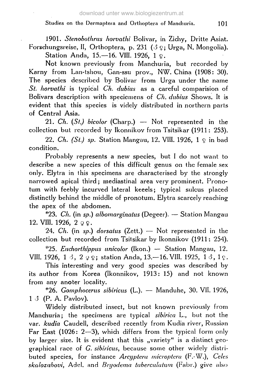1901. *Stenobothnis horvathi* Bolivar, in Zichy, Dritte Asiat. Forschungsreise, II, Orthoptera, p. 231 (3  $\Omega$ ; Urga, N. Mongolia).

Station Anda, 15.-16. VIII. 1926, 1 9.

Not known previously from Manchuria, but recorded by Karny from Lan-tshou, Gan-ssu prov., NW. China (1908: 30). The species described by Bolivar from Urga under the name *St. horvathi* is typical *Ch. dubius* as a careful comparision of Bolivars description with speciemens of *Ch. dubius* Shows. It is evident that this species is videly distributed in northern parts of Central Asia.

21. *Ch. {St.) bicolor* (Charp.) — Not represented in the collection but recorded by Ikonnikov from Tsitsikar (1911: 253).

22. Ch. (St.) sp. Station Mangau, 12. VIII. 1926,  $1 \circ$  in bad condition.

Probably represents a new species, but I do not want to describe a new species of this difficult genus on the female sex only. Elytra in this specimens are characterised by the strongly narrowed apical third ; mediastinal area very prominent. Pronotum with feebly incurved lateral keeels; typical sulcus placed distinctly behind the middle of pronotum. Elytra scarcely reaching the apex of the abdomen.

\*23. *Ch.* (in *sp.) albomarginatus* (Degeer). — Station Mangau 12. VIII. 1926,  $2 \varrho$  .

24. *Ch.* (in *sp.) dorsatus* (Zett.) — Not represented in the collection but recorded from Tsitsikar by Ikonnikov (1911: 254).

\*25. *Euchorthippus unicolor* (Ikon.) — Station Mangau, 12. VIII. 1926, 1  $\circ$ , 2  $\circ$   $\circ$ ; station Anda, 13. -16. VIII. 1925, 1  $\circ$ , 1 $\circ$ .

This interesting and very good species was described by its author from Korea (Ikonnikov, 1913: 15) and not known from any anoter locality.

\*26. *Gomphocerus sibiricus* (L). — Manduhe, 30. VII. 1926, 1 *3* (P. A. Pavlov).

Widely distributed insect, but not known previously from Manchuria; the specimens are typical *sibirica* L., but not the var. *kudia* Caudell, described recently from Kudia river, Russian Far East (1026: 2—3), which differs from the typical form only by larger size. It is evident that this "variety" is a distinct geographical race of *G. sibi/icus,* because some other widely distributed species, for instance *Arcyptera microptera* (F.-W.), *Celes skalozubovi,* Adel, and *Bryodema tuberculutuin* (Fabr.) give also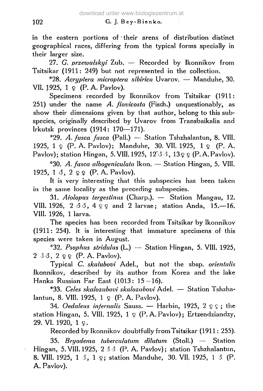in the eastern portions of • their arens of distribution distinct geographical races, differing from the typical forms specially in their larger size.

27. *G. przezualskyi* Zub. — Recorded by Ikonnikov from Tsitsikar (1911: 249) but not represented in the collection.

\*28. *Acryptera microptera sibirica* Uvarov. — Manduhe, 30. VII. 1925,  $1 \circ (P. A. Pavlov)$ .

Specimens recorded by Ikonnikov from Tsitsikar (1911: 251) under the name *A. flavicosta* (Fisch.) unquestionably, as show their dimensions given by that author, belong to this subspecies, originally described by Uvarov from Transbaikalia and Irkutsk provinces (1914: 170—171).

\*29. *A. fusca fusca* (Pall.) — Station Tshzhalantun, 8. VIII. 1925, 1  $\Omega$  (P.A.Pavlov); Manduhe, 30. VII. 1925, 1  $\Omega$  (P.A. Pavlov); station Hingan, 5. VIII. 1925, 12' $\circ$   $\circ$ , 13  $\circ$   $\circ$  (P.A.Pavlov).

\*30. *A. fusca albogeniculata* Ikon. — Station Hingan, 5. VIII. 1925, 1  $\delta$ , 2  $\Omega$   $\Omega$  (P. A. Pavlov).

It is very interesting that this subspecies has been taken in the same locality as the preceding subspecies.

31. *Aiolopus tergestinus* (Charp.). — Station Mangau, 12. VIII. 1926, 2  $33, 499$  and 2 larvae; station Anda, 15,-16. VIII. 1926, 1 larva.

The species has been recorded from Tsitsikar by Ikonnikov (1911: 254). It is interesting that immature specimens of this species were taken in August.

\*32. *Psophus stridulus* (L.) — Station Hingan, 5. VIII. 1925,  $2 \triangleleft 3$ ,  $2 \triangleleft 2 \triangleleft$  (P. A. Pavlov).

Typical *C. skalubovi* Adel., but not the sbsp. *orientalis* Ikonnikov, described by its author from Korea and the lake Hanka Russian Far East (1013: 15-16).

\*33. *Celes skalozubovi skalozubovi* Adel. — Station Tshzhalantun, 8. VIII. 1925,  $1 \circ (P. A. Pavlov)$ .

34. Oedaleus infernalis Sauss.  $-$  Harbin, 1925, 2  $\Omega$  ; the station Hingan, 5. VIII. 1925,  $1 \varrho$  (P.A. Pavlov); Ertzendziandzy,  $29.$  VI. 1920, 1  $\Omega$ .

Recorded by Ikonnikov doubtfully from Tsitsikar (1911: 255).

35. *Bryodema tuberculatum dilutum* (Stoll.) — Station Hingan, 5.VIII. 1925, 2 *6 6* (P. A. Pavlov); station Tshzhalantun, 8. VIII. 1925, 1 3, 1 9; station Manduhe, 30. VII. 1925, 1 3 (P. A. Pavlov).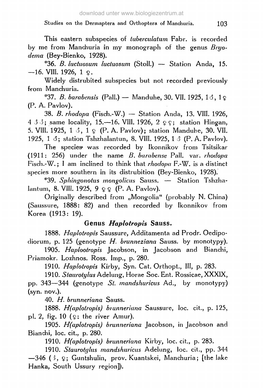This eastern subspecies of *tuberculatum* Fabr. is recorded by me from Manchuria in my monograph of the genus *Bryodema* (Bey-Bienko, 1928).

\*36. *B. hictuosum luctuosum* (Stoll.) — Station Anda, 15.  $-16.$  VIII. 1926, 1  $\Omega$ .

Widely distrubited subspecies but not recorded previously from Manchuria.

\*37. *B. barabensis* (Pall.) — Manduhe, 30. VII. 1925, Id, l ç (P. A. Pavlov).

38. *B. rhodopa* (Fisch.-W.) — Station Anda, 13. **VIII.** 1926, 4 J 3; same locality, 15.—16. **VIII.** 1926, 2 ÇÇ; station Hingan, 5. **VIII. 1925,** 1 *S,* 1 Ç (P. A. Pavlov); station Mandube, 30. **VII.** 1925, 1  $\delta$ ; station Tshzhalantun, 8. VIII. 1925, 1  $\delta$  (P. A. Pavlov).

The species was recorded by Ikonnikov from Tsitsikar (1911: 256) under the name *B. barabense* Pall. var. *rhodopa* Fisch.-W. ; I am inclined to think that *rhodopa* F.-W. is a distinct species more southern in its distrubition (Bey-Bienko, 1928).

\*39. *Sphingonotus mongoliens* Sauss. — Station Tshzhalantum, 8. VIII. 1925, 9  $\varphi$   $\varphi$  (P. A. Pavlov).

Originally described from "Mongolia" (probably N. China) (Saussure, 1888: 82) and then recorded by Ikonnikov from Korea (1913: 19).

## **Genus** *Haplotropis* **Sauss.**

1888. *Haplotropis* Saussure, Additamenta ad Prodr. Oedipodiorum, p. 125 (genotype *H. brunneziana* Sauss. by monotypy).

1905. *Haplootropis* Jacobson, in Jacobson and Bianchi, Priamokr. Lozhnos. Ross. Imp., p. 280.

1910. *Haplotropis* Kirby, Syn. Cat. Orthopt., Ill, p. 283.

1910. *Staurotylus* Adelung, Horae Soc. Ent. Rossicae, XXXIX,

pp. 343—344 (genotype *St. mandshuricus* Ad., by monotypy) (syn. nov.).

40. *H. brunneriana* Sauss.

1888. *H(aploiropis) brunneriana* Saussure, loc. cit., p. 125, pl. 2, fig. 10 ( $\Omega$ ; the river Amur).

1905. *H(aplotropis) brunneriana* Jacobson, in Jacobson and Bianchi, loc. cit., p. 280.

1910. *H(aplotropis) brunneriana* Kirby, loc. cit., p. 283.

1910. *Staurotylus mandshuricus* Adelung, loc. cit., pp. 344 —346 (5, \$; Guntshulin, prov. Kuantskei, Manchuria; [the lake Hanka, South Ussury region]).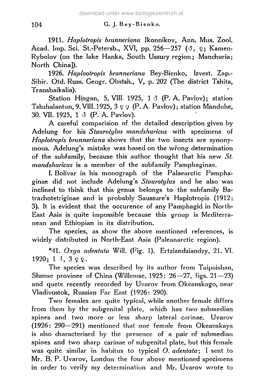#### 104 G. J. Bey-Bienko.

1911. Haplotropis brunneriana Ikonnikov, Ann. Mus. Zool. Acad. Imp. Sci. St.-Petersb., XVI, pp. 256-257 (3, 9; Kamen-Rybolov (on the lake Hanka, South Ussury region; Manchuria; North China]).

1926. *Haplootropis brunneriana* Bey-Bienko, Izvest. Zap.- Sibir. Otd. Russ. Geogr. Obstsh., V, p. 202 (The district Tshita, Transbaikalia).

Station Hingan, 5, VIII. 1925,  $1 \circ$  (P. A. Pavlov); station Tshzhalantun, 9. VIII. 1925,  $3 \varphi$  (P. A. Pavlov); station Manduhe, 30. VII. 1925, 1 *6* (P. A. Pavlov).

A careful comparision of the detailed description given by Adelung for his *Staurotylus mandshuricus* with specimens of *Haplotropis brunneriana* shows that the two insects are synonymous. Adelung's mistake was based on the wrong determination of the subfamily, because fhis author thought that his new *St. mandshuricus* is a member of the subfamily Pamphaginae.

I. Bolivar in his monograph of the Palaearciic Pamphaginae did not include Adelung's *Staurotylus* and he also was inclined to think that this genus belongs to the subfamily Batrachotetriginae and is probably Saussure's Haplotropis (1912: 3). It is evident that the occurence of any Pamphagid in North-East Asia is quite impossible because this group is Mediterranean and Ethiopian in its distribution.

The species, as show the above mentioned references, is widely distributed in North-East Asia (Paleanarctic region).

\*41. *Oxya adentata* Will. (Fig. 1). Ertziandziandzy, 21. VI. 1920; 1  $3 \Omega$   $9 \Omega$ .

The species was described by its author from Taipaishan, Shense provinee of China (Willemse, 1925: 26—27, figs. 21—23) and quete recently recorded by Uvarov from Okeanskago, near Vladivostok, Russian Far East (1926: 290).

Two females are quite typical, while another female differs from them by the subgenital plate, which has two submedian spines and two more or less sharp lateral carinae. Uvarov  $(1926: 290-291)$  mentioned that one female from Okeanskaya is also characterised by the presence of a pair of submedian spines and two sharp carinae of subgenital plate, but this female was quite similar in habitus to typical *O. adentata;* I sent to Mr. B. P. Uvarov, London the four above mentioned specimens in order to verify my determination and Mr. Uvarov wrote to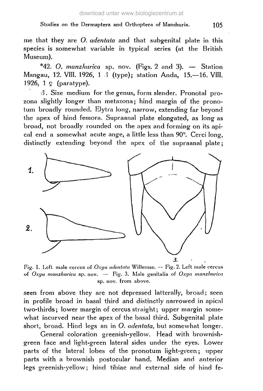me that they are *O. adentala* and that subgenital plate in this species is somewhat variable in typical series (at the British Museum).

\*42. *O. manzhurica* sp. nov. (Figs. 2 and 3). — Station Mangau, 12. VIII. 1926, 1 S (type); station Anda, 15.—16. VIII. 1926, 1 ç (paratype).

*6.* Size medium for the genus, form slender. Pronotal prozona slightly longer than metazona; hind margin of the pronotum broadly rounded. Elytra long, narrow, extending far beyond the apex of hind femora. Supraanal plate elongated, as long as broad, not broadly rounded on the apex and forming on its apical end a somewhat acute ange, a little less than 90". Cerci long, distinctly extending beyond the apex of the supraanal plate;



Fig. 1. Left male cercus of *Oxya adentala* Willemsc. — Fig. 2. Left male cercus of *Oxya manzhurica* sp. nov. — Fig. 3. Male genitalia of *Oxya manzhurica* sp. nov. from above.

seen from above they are not depressed latterally, broad; seen in profile broad in basal third and distinctly narrowed in apical two-thirds; lower margin of cercus straight; upper margin somewhat incurved near the apex of the basal third. Subgenital plate short, broad. Hind legs an in *O. adentata,* but somewhat longer.

General coloration greenish-yellow. Head with brownishgreen face and light-green lateral sides under the eyes. Lower parts of the lateral lobes of the pronotum light-green ; upper parts with a brownish postocular band. Median and anterior legs greenish-yellow; hind tibiae and external side of hind fe-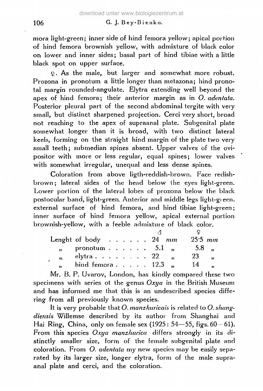### 106 G. J. Bey-Bienko.

mora light-green; inner side of hind femora yellow; apical portion of hind femora brownish yellow, with admixture of black color on lower and inner sides; basal part of hind tibiae with a little black spot on upper surface.

Ç. As the male, but larger and somewhat more robust. Prozona in pronotum a little longer than metazona; hind pronotal margin rounded-angulate. Elytra extending well beyond the apex of hind femora; their anterior margin as in *O. adentata.* Posterior pleural part of the second abdominal tergite with very small, but distinct sharpened projection. Cerci very short, broad not reaching to the apex of supraanal plate. Subgenital plate somewhat longer than it is broad, with two distinct lateral keels, forming on the straight hind margin of the plate two very small teeth; submedian spines absent. Upper valves of the ovipositor with more or less regular, equal spines; lower valves with somewhat irregular, unequal and less dense spines.

Coloration from above ligth-reddish-brown. Face redishbrown ; lateral sides of the head below the eyes light-green. Lower portion of the lateral lobes of prozona below the black postocular band, light-green. Anterior and middle legs light-gieen. external surface of hind femora, and hind tibiae light-green ; inner surface of hind femora yellow, apical external portion brownish-yellow, with a feeble admixture of black color.

|                         | Lenght of body $\ldots$ $\ldots$ 24 mm  |  |  |  |  | $25.5 \, mm$ |                      |
|-------------------------|-----------------------------------------|--|--|--|--|--------------|----------------------|
|                         | pronotum $\cdots$ $\cdots$ 5.1 $\cdots$ |  |  |  |  | 5.8 .        |                      |
| $\mathbf{y}$            | elytra $\ldots$ $\ldots$ $\ldots$ 22    |  |  |  |  | 23           | $\ddot{\phantom{a}}$ |
| $\overline{\mathbf{r}}$ | hind femora $12.3$ ,                    |  |  |  |  | 14           |                      |

Mr. B. P. Uvarov, London, has kindly compared these two specimens with series ot the genus *Oxya* in the British Museum and has informed me that this is an undescribed species differing from all previously known species.

It is very probable that *O. manzhuricais* is related to *O. shangdiensis* Willemse described by its author from Shanghai and Hai Ring, China, only on female sex  $(1925: 54 - 55, figs. 60 - 61)$ . From this species *Oxya manzhurica* differs strongly in its distinctly smaller size, form of the female subgenital plate and coloration. From *O. adentata* my new species may be easily separated by its larger size, longer elytra, form of the male supraanal plate and cerci, and the coloration.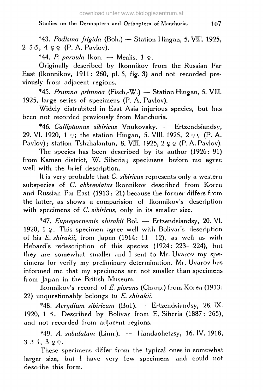\*43. *Podisma frigida* (Boh.) — Station Hingan, 5. **VIIL** 1925,  $2 \triangleleft 3$ ,  $4 \triangleleft 2$  (P. A. Pavlov).

\*44. P. parvula Ikon. — Mealis,  $1 \Omega$ .

Originally described by Ikonnikov from the Russian Far East (Ikonnikov, 1911: 260, pi. 5, fig. 3) and not recorded previously from adjacent regions.

\*45. *Prumna prirnnoa* (Fisch.-W.) — Station Hingan, 5. VIII. 1925, large series of specimens (P. A. Pavlov).

Widely distrubited in East Asia injurious species, but has been not recorded previously from Manchuria.

\*46. *Calliptamus sibiricus* Vnukovsky. — Ertzendsiandsy, 29. VI. 1920, 1  $\varphi$ ; the station Hingan, 5. VIII. 1925, 2  $\varphi \varphi$  (P. A. Pavlov); station Tshzhalantun, 8. VIII. 1925,  $2 \nsubseteq \mathbb{P}$ . A. Pavlov).

The species has been described by its author (1926: 91) from Kamen district, W. Siberia; specimens before me agree well with the brief description.

It is very probable that *C. sibiricus* represents only a western subspecies of *C. abbreviatus* Ikonnikov described from Korea and Russian Far East (1913: 21) because the former differs from the latter, as shows a comparision of Ikonnikov's description with specimens of *C. sibiricus,* only in its smaller size.

\*47. *Euprepocnernis shirakii* Bol. — Ertzendsiandsy, 20. VI. 1920,  $1 \Omega$ . This specimen agree well with Bolivar's description of his *E. shirakii,* from Japan (1914: 11—12), as well as with Hebard's redescription of this species (1924: 223—224), but they are somewhat smaller and I sent to Mr. Uvarov my specimens for verify my preliminary determination. Mr. Uvarov has informed me that my specimens are not smaller than specimens from Japan in the British Museum.

Ikonnikov's record of *E. plorans* (Charp.) from Korea (1913: 22) unquestionably belongs to *E. shirakii.*

\*48. *Acrydium sibiricum* (Bol.). — Ertzendsiandsy, 28. IX. 1920, 1 *3.* Described by Bolivar from E.Siberia (1887: 265), and not recorded from adjacent regions.

\*49. *A. subulatum* (Linn.). — Handaohetzsy, 16. IV. 1918,  $3,3,3,9,9$ .

These specimens differ from the typical ones in somewhat larger size, but I have very few specimens and could not describe this form.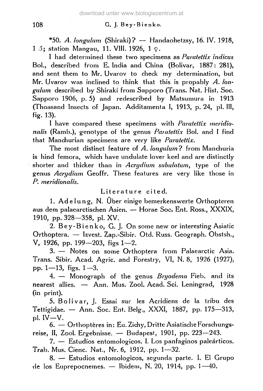#### 108 G. J. Bey-Bienko.

\*50. *A. longulum* (Shiraki)? — Handaohetzsy, 16. IV. 1918, 1 *ô;* station Mang-au, 11. VIII. 1926, 1 ç.

I had determined these two specimens as *Paratettix indicus* Bol., described from E. India and China (Bolivar, 1887: 281), and sent them to Mr. Uvarov to check my determination, but Mr. Uvarov was inclined to think that this is propably *A. longulum* described by Shiraki from Sapporo (Trans. Nat. Hist. Soc. Sapporo 1906, p. 5) and redescribed by Matsumura in 1913 (Thoasand Insects of Japan. Additamenta I, 1913, p. 24, pi. Ill, fig. 13).

I have compared these specimens with *Paratettix meridionalis* (Ramb.), genotype of the genus *Paiatettix* Bol. and I find that Manchurian specimens are very like *Paratettix.*

The most distinct feature of *A. longulum?* from Manchuria is hind femora, which have undulate lover keel and are distinctly shorter and thicker than in *Acrydium subulatum,* type of the genus *Acrydium* Geoffr. These features are very like those in *P. meridionalis.*

#### Literature cited.

1. Adelung, N. Über einige bemerkenswerte Orthopteren aus dem palaearctischen Asien. — Horae Soc. Ent. Ross., XXXIX, 1910, pp. 328—358, pi. XV.

2. Bey-Bienko, G. J. On some new or interesting Asiatic Orthoptera. — Izvest. Zap.-Sibir. Otd. Russ. Geograph. Obstsh., V, 1926, pp. 199—203, figs 1—2.

3. — Notes on some Orthoptera from Palaearctic Asia. Trans. Sibir. Acad. Agric. and Forestry, VI, N. 8, 1926 (1927), pp. 1—13, figs.  $1-3$ .

4. — Monograph of the genus *Bryodema* Fieb. and its nearest allies. — Ann. Mus. Zool. Acad. Sei. Leningrad, 1928 (in print).

5. Bolivar, J. Essai sur les Acridiens de la tribu des Tettigidae. — Ann. Soc. Ent. Belg., XXXI, 1887, pp. 175—313, pi. IV—V.

6. — Orthoptères in: Eu. Zichy, Dritte Asiatische Forschungsreise, II, Zool. Ergebnisse. — Budapest, 1901, pp. 223—243.

7. — Estudios entomologicos. I. Los panfaginos paleârticos. Trab. Mus. Cienc. Nat., Nr. 6, 1912, pp. 1—32.

8. — Estudios entomologicos, segunda parte. I. El Grupo de los Euprepocnemes. — Ibidem, N. 20, 1914, pp. 1—40.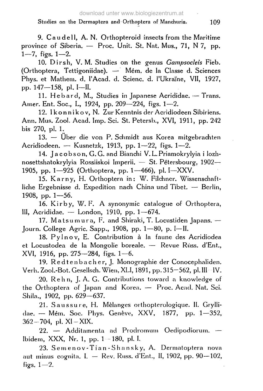9. Caudell, A. N. Orthopteroid insects from the Maritime province of Siberia. — Proc. Unit. St. Nat. Mus., 71, N 7, pp. 1—7, figs. 1—2.

10. Dirsh, V. M. Studies on the genus *Gampsocleis* Fieb. (Orthoptera, Tettigoniidae). — Mém. de la Classe d. Sciences Phys. et Mathem. d. l'Acad. d. Scienc. d. l'Ukraïne, VII, 1927, pp. 147—158, pi. I—II.

11. Hebard, M., Studies in Japanese Acrididae. - Trans. Amer. Ent. Soc, L, 1924, pp. 209—224, figs. 1—2.

12. Ikonnikov, N. Zur Kenntnis der Acridiodeen Sibiriens. Ann. Mus. Zool. Acad. Imp. Sei. St. Petersb., XVI, 1911, pp. 242 bis 270, pi. 1.

13. — Über die von P. Schmidt aus Korea mitgebrachten Acridiodeen. — Kusnetzk, 1913, pp. 1—22, figs. 1—2.

14. Ja cob son, G.G. and Bianchi V. L. Priamokrylyia i lozhnosettshatokrylyia Rossiiskoi Imperii. — St. Pétersbourg, 1902— 1905, pp. 1—925 (Orthoptera, pp. 1—466), pi. I—XXV.

15. Karny, H. Orthoptera in: W. Filchner. Wissenschaftliche Ergebnisse d. Expedition nach China und Tibet. — Berlin, 1908, pp. 1—56.

16. Kir by, W. F. A synonymic catalogue of Orthoptera, III, Acrididae. — London, 1910, pp. 1—674.

17. Matsumura, F. and Shiraki, T. Locustiden Japans.  $-$ Journ. College Agric. Sapp., 1908, pp. 1—80, p. I—II.

18. Pylnov, E. Contribution à la faune des Acridiodea et Locustodea de la Mongolie boréale. — Revue Riiss. d'Ent., XVI, 1916, pp. 275—284, figs. 1—6.

19. Redtenbacher, J. Monographie der Conocephaliden. Verh. Zool.-Bot. Gesellsch. Wien, XLI, 1891, pp. 315-562, pl. III IV.

20. Rehn, J. A. G. Contributions toward a knowledge of the Orthoptera of Japan and Korea. — Proc. Acad. Nat. Sei. Shila., 1902, pp. 629—637.

21. Saussure, H. Mèlanges orthopterologique. II. Gryllidae. — Mém. Soc. Phys. Genève, XXV, 1877, pp. 1—352, 362-704, pi. XI-XIX.

22. — Additamenta ad Prodromum Oedipodiorum. — Ibidem, XXX, Nr. 1, pp. 1 — 180, pi. I.

23. Semenov-Tian-Shansky, A. Dermatoptera nova aut minus cognita. I. — Rev. Russ. d'Ent., II, 1902, pp. 90—102, figs. 1—2.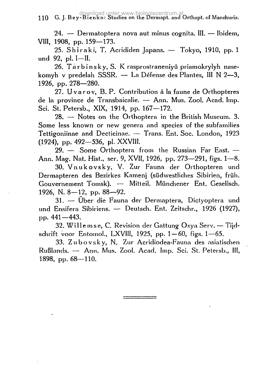download unter www.biologiezentrum.at<br>110 G. J. Bey-Bienko: Studies on the Dermapt. and Orthopt. of Manchuria.

24. — Dermatoptera nova aut minus cognita. III. — Ibidem, VIII, 1908, pp. 159—173.

25. Shiraki, T. Acrididen Japans. — Tokyo, 1910, pp. 1 und 92, pi. I—II.

26. Tarbinsky, S. K rasprostraneniyû priamokrylyh nasekomyh v predelah SSSR. — La Défense des Plantes, III N 2—3, 1926, pp. 278—280.

27. Uvarov, B. P. Contribution à la faune de Orthopteres de la province de Transbaicalie. — Ann. Mus. Zool. Acad. Imp. Sei. St. Petersb., XIX, 1914, pp. 167—172.

28. — Notes on the Orthoptera in the British Museum. 3. Some less known or new genera and species of the subfamilies Tettigoniinae and Decticinae. — Trans. Ent. Soc. London, 1923 (1924), pp. 492—536, pi. XXVIH.

29. — Some Orthoptera from the Russian Far East. — Ann. Mag. Nat. Hist, ser. 9, XVII, 1926, pp. 273—291, figs. 1—8.

30. Vnukovsky , V. Zur Fauna der Orthopteren und Dermapteren des Bezirkes Kamenj (südwestliches Sibirien, früh. Gouvernement Tomsk). — Mitteil. Münchener Ent. Gesellsch. 1926, N. 8—12, pp. 88—92.

31. — Über die Fauna der Dermaptera, Dictyoptera und und Ensifera Sibiriens. — Deutsch. Ent. Zeitschr., 1926 (1927), pp. 441—443.

32. Wi 11 e m s e, C. Revision der Gattung Oxya Serv. — Tijdschrift voor Entomol., LXVIII, 1925, pp.  $1-60$ , figs.  $1-65$ .

33. Zubovsky, N. Zur Acridiodea-Fauna des asiatischen Rußlands. — Ann. Mus. Zool. Acad. Imp. Sei. St. Petersb., III, 1898, pp. 68—110.